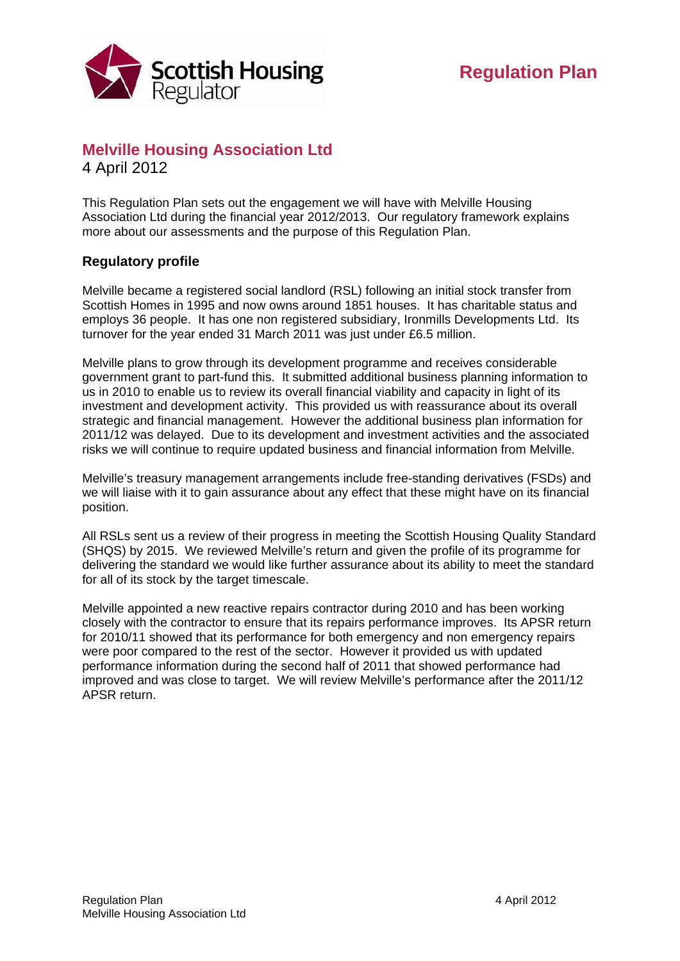

## **Melville Housing Association Ltd**  4 April 2012

This Regulation Plan sets out the engagement we will have with Melville Housing Association Ltd during the financial year 2012/2013. Our regulatory framework explains more about our assessments and the purpose of this Regulation Plan.

## **Regulatory profile**

Melville became a registered social landlord (RSL) following an initial stock transfer from Scottish Homes in 1995 and now owns around 1851 houses. It has charitable status and employs 36 people. It has one non registered subsidiary, Ironmills Developments Ltd. Its turnover for the year ended 31 March 2011 was just under £6.5 million.

Melville plans to grow through its development programme and receives considerable government grant to part-fund this. It submitted additional business planning information to us in 2010 to enable us to review its overall financial viability and capacity in light of its investment and development activity. This provided us with reassurance about its overall strategic and financial management. However the additional business plan information for 2011/12 was delayed. Due to its development and investment activities and the associated risks we will continue to require updated business and financial information from Melville.

Melville's treasury management arrangements include free-standing derivatives (FSDs) and we will liaise with it to gain assurance about any effect that these might have on its financial position.

All RSLs sent us a review of their progress in meeting the Scottish Housing Quality Standard (SHQS) by 2015. We reviewed Melville's return and given the profile of its programme for delivering the standard we would like further assurance about its ability to meet the standard for all of its stock by the target timescale.

Melville appointed a new reactive repairs contractor during 2010 and has been working closely with the contractor to ensure that its repairs performance improves. Its APSR return for 2010/11 showed that its performance for both emergency and non emergency repairs were poor compared to the rest of the sector. However it provided us with updated performance information during the second half of 2011 that showed performance had improved and was close to target. We will review Melville's performance after the 2011/12 APSR return.